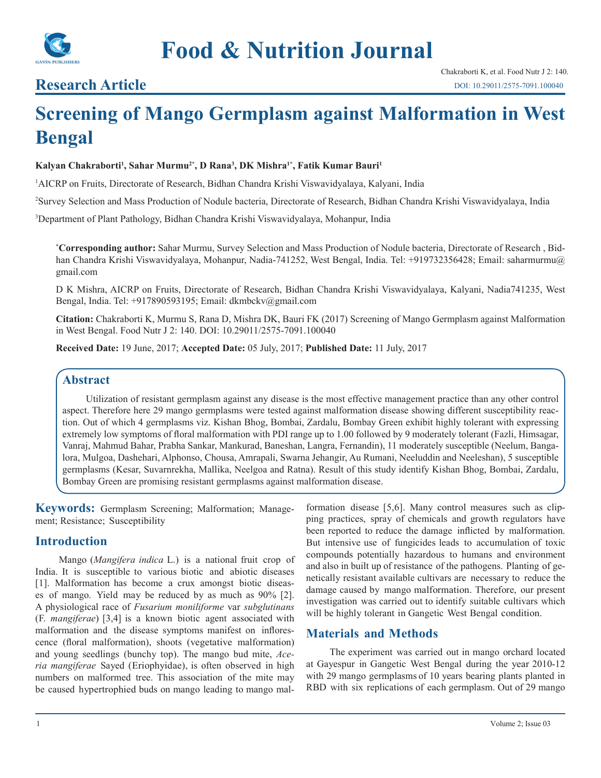

## **Research Article**

# **Screening of Mango Germplasm against Malformation in West Bengal**

#### **Kalyan Chakraborti1 , Sahar Murmu2\*, D Rana3 , DK Mishra1\*, Fatik Kumar Bauri1**

1 AICRP on Fruits, Directorate of Research, Bidhan Chandra Krishi Viswavidyalaya, Kalyani, India

2 Survey Selection and Mass Production of Nodule bacteria, Directorate of Research, Bidhan Chandra Krishi Viswavidyalaya, India

3 Department of Plant Pathology, Bidhan Chandra Krishi Viswavidyalaya, Mohanpur, India

**\* Corresponding author:** Sahar Murmu, Survey Selection and Mass Production of Nodule bacteria, Directorate of Research , Bidhan Chandra Krishi Viswavidyalaya, Mohanpur, Nadia-741252, West Bengal, India. Tel: +919732356428; Email: saharmurmu@ gmail.com

D K Mishra, AICRP on Fruits, Directorate of Research, Bidhan Chandra Krishi Viswavidyalaya, Kalyani, Nadia741235, West Bengal, India. Tel: +917890593195; Email: dkmbckv@gmail.com

**Citation:** Chakraborti K, Murmu S, Rana D, Mishra DK, Bauri FK (2017) Screening of Mango Germplasm against Malformation in West Bengal. Food Nutr J 2: 140. DOI: 10.29011/2575-7091.100040

**Received Date:** 19 June, 2017; **Accepted Date:** 05 July, 2017; **Published Date:** 11 July, 2017

#### **Abstract**

Utilization of resistant germplasm against any disease is the most effective management practice than any other control aspect. Therefore here 29 mango germplasms were tested against malformation disease showing different susceptibility reaction. Out of which 4 germplasms viz. Kishan Bhog, Bombai, Zardalu, Bombay Green exhibit highly tolerant with expressing extremely low symptoms of floral malformation with PDI range up to 1.00 followed by 9 moderately tolerant (Fazli, Himsagar, Vanraj, Mahmud Bahar, Prabha Sankar, Mankurad, Baneshan, Langra, Fernandin), 11 moderately susceptible (Neelum, Bangalora, Mulgoa, Dashehari, Alphonso, Chousa, Amrapali, Swarna Jehangir, Au Rumani, Neeluddin and Neeleshan), 5 susceptible germplasms (Kesar, Suvarnrekha, Mallika, Neelgoa and Ratna). Result of this study identify Kishan Bhog, Bombai, Zardalu, Bombay Green are promising resistant germplasms against malformation disease.

**Keywords:** Germplasm Screening; Malformation; Management; Resistance; Susceptibility

#### **Introduction**

Mango (*Mangifera indica* L.) is a national fruit crop of India. It is susceptible to various biotic and abiotic diseases [1]. Malformation has become a crux amongst biotic diseases of mango. Yield may be reduced by as much as 90% [2]. A physiological race of *Fusarium moniliforme* var *subglutinans*  (F. *mangiferae*) [3,4] is a known biotic agent associated with malformation and the disease symptoms manifest on inflorescence (floral malformation), shoots (vegetative malformation) and young seedlings (bunchy top). The mango bud mite, *Aceria mangiferae* Sayed (Eriophyidae), is often observed in high numbers on malformed tree. This association of the mite may be caused hypertrophied buds on mango leading to mango malformation disease [5,6]. Many control measures such as clipping practices, spray of chemicals and growth regulators have been reported to reduce the damage inflicted by malformation. But intensive use of fungicides leads to accumulation of toxic compounds potentially hazardous to humans and environment and also in built up of resistance of the pathogens. Planting of genetically resistant available cultivars are necessary to reduce the damage caused by mango malformation. Therefore, our present investigation was carried out to identify suitable cultivars which will be highly tolerant in Gangetic West Bengal condition.

### **Materials and Methods**

The experiment was carried out in mango orchard located at Gayespur in Gangetic West Bengal during the year 2010-12 with 29 mango germplasms of 10 years bearing plants planted in RBD with six replications of each germplasm. Out of 29 mango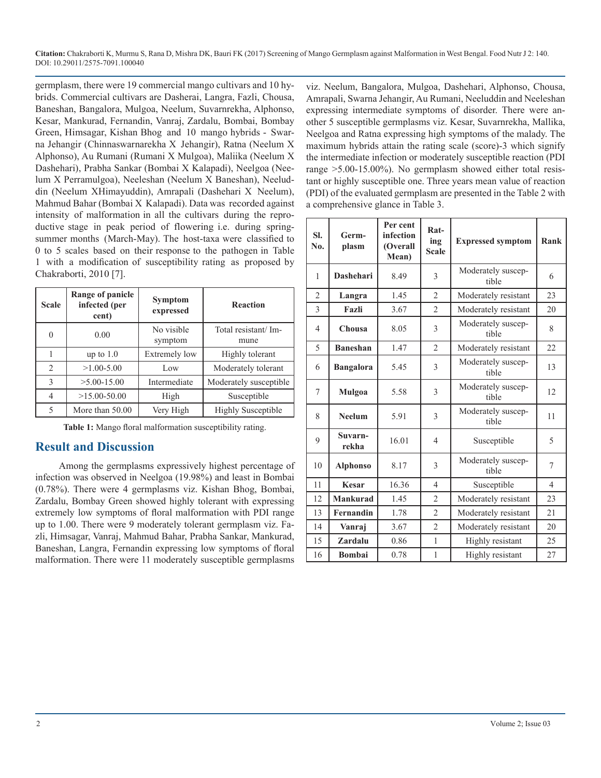**Citation:** Chakraborti K, Murmu S, Rana D, Mishra DK, Bauri FK (2017) Screening of Mango Germplasm against Malformation in West Bengal. Food Nutr J 2: 140. DOI: 10.29011/2575-7091.100040

germplasm, there were 19 commercial mango cultivars and 10 hybrids. Commercial cultivars are Dasherai, Langra, Fazli, Chousa, Baneshan, Bangalora, Mulgoa, Neelum, Suvarnrekha, Alphonso, Kesar, Mankurad, Fernandin, Vanraj, Zardalu, Bombai, Bombay Green, Himsagar, Kishan Bhog and 10 mango hybrids - Swarna Jehangir (Chinnaswarnarekha X Jehangir), Ratna (Neelum X Alphonso), Au Rumani (Rumani X Mulgoa), Maliika (Neelum X Dashehari), Prabha Sankar (Bombai X Kalapadi), Neelgoa (Neelum X Perramulgoa), Neeleshan (Neelum X Baneshan), Neeluddin (Neelum XHimayuddin), Amrapali (Dashehari X Neelum), Mahmud Bahar (Bombai X Kalapadi). Data was recorded against intensity of malformation in all the cultivars during the reproductive stage in peak period of flowering i.e. during springsummer months (March-May). The host-taxa were classified to 0 to 5 scales based on their response to the pathogen in Table 1 with a modification of susceptibility rating as proposed by Chakraborti, 2010 [7].

| <b>Scale</b>   | <b>Range of panicle</b><br>infected (per<br>cent) | <b>Symptom</b><br>expressed | <b>Reaction</b>              |
|----------------|---------------------------------------------------|-----------------------------|------------------------------|
| $\theta$       | 0.00                                              | No visible<br>symptom       | Total resistant/ Im-<br>mune |
| 1              | up to $1.0$                                       | <b>Extremely low</b>        | Highly tolerant              |
| $\overline{2}$ | $>1.00 - 5.00$                                    | Low                         | Moderately tolerant          |
| 3              | $>5.00 - 15.00$                                   | Intermediate                | Moderately susceptible       |
| $\overline{4}$ | $>15.00 - 50.00$                                  | High                        | Susceptible                  |
| 5              | More than 50.00                                   | Very High                   | <b>Highly Susceptible</b>    |

**Table 1:** Mango floral malformation susceptibility rating.

#### **Result and Discussion**

Among the germplasms expressively highest percentage of infection was observed in Neelgoa (19.98%) and least in Bombai (0.78%). There were 4 germplasms viz. Kishan Bhog, Bombai, Zardalu, Bombay Green showed highly tolerant with expressing extremely low symptoms of floral malformation with PDI range up to 1.00. There were 9 moderately tolerant germplasm viz. Fazli, Himsagar, Vanraj, Mahmud Bahar, Prabha Sankar, Mankurad, Baneshan, Langra, Fernandin expressing low symptoms of floral malformation. There were 11 moderately susceptible germplasms

viz. Neelum, Bangalora, Mulgoa, Dashehari, Alphonso, Chousa, Amrapali, Swarna Jehangir, Au Rumani, Neeluddin and Neeleshan expressing intermediate symptoms of disorder. There were another 5 susceptible germplasms viz. Kesar, Suvarnrekha, Mallika, Neelgoa and Ratna expressing high symptoms of the malady. The maximum hybrids attain the rating scale (score)-3 which signify the intermediate infection or moderately susceptible reaction (PDI range >5.00-15.00%). No germplasm showed either total resistant or highly susceptible one. Three years mean value of reaction (PDI) of the evaluated germplasm are presented in the Table 2 with a comprehensive glance in Table 3.

| SI.<br>N <sub>0</sub> | Germ-<br>plasm   | Per cent<br>infection<br>(Overall<br>Mean) | Rat-<br>ing<br><b>Scale</b> | <b>Expressed symptom</b>    | Rank           |
|-----------------------|------------------|--------------------------------------------|-----------------------------|-----------------------------|----------------|
| 1                     | <b>Dashehari</b> | 8.49                                       | 3                           | Moderately suscep-<br>tible | 6              |
| $\overline{2}$        | Langra           | 1.45                                       | $\overline{2}$              | Moderately resistant        | 23             |
| $\overline{3}$        | Fazli            | 3.67                                       | $\mathfrak{D}$              | Moderately resistant        | 20             |
| $\overline{4}$        | Chousa           | 8.05                                       | 3                           | Moderately suscep-<br>tible | 8              |
| 5                     | <b>Baneshan</b>  | 1.47                                       | $\overline{2}$              | Moderately resistant        | 22             |
| 6                     | <b>Bangalora</b> | 5.45                                       | 3                           | Moderately suscep-<br>tible | 13             |
| 7                     | Mulgoa           | 5.58                                       | 3                           | Moderately suscep-<br>tible | 12             |
| 8                     | <b>Neelum</b>    | 5.91                                       | $\mathcal{E}$               | Moderately suscep-<br>tible | 11             |
| 9                     | Suvarn-<br>rekha | 16.01                                      | $\overline{4}$              | Susceptible                 | 5              |
| 10                    | <b>Alphonso</b>  | 8.17                                       | 3                           | Moderately suscep-<br>tible | 7              |
| 11                    | <b>Kesar</b>     | 16.36                                      | $\overline{4}$              | Susceptible                 | $\overline{4}$ |
| 12                    | <b>Mankurad</b>  | 1.45                                       | $\overline{2}$              | Moderately resistant        | 23             |
| 13                    | Fernandin        | 1.78                                       | $\overline{2}$              | Moderately resistant        | 21             |
| 14                    | Vanraj           | 3.67                                       | $\overline{\mathcal{L}}$    | Moderately resistant        | 20             |
| 15                    | Zardalu          | 0.86                                       | $\mathbf{1}$                | Highly resistant            | 25             |
| 16                    | <b>Bombai</b>    | 0.78                                       | $\mathbf{1}$                | Highly resistant            | 27             |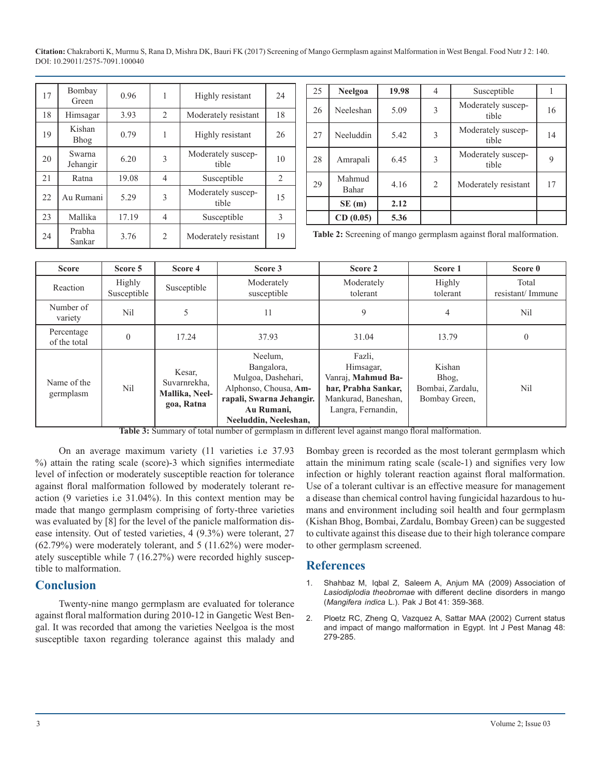**Citation:** Chakraborti K, Murmu S, Rana D, Mishra DK, Bauri FK (2017) Screening of Mango Germplasm against Malformation in West Bengal. Food Nutr J 2: 140. DOI: 10.29011/2575-7091.100040

| 17 | Bombay<br>Green       | 0.96  | 1              | Highly resistant            | 24 |
|----|-----------------------|-------|----------------|-----------------------------|----|
| 18 | Himsagar              | 3.93  | 2              | Moderately resistant        | 18 |
| 19 | Kishan<br><b>Bhog</b> | 0.79  |                | Highly resistant            | 26 |
| 20 | Swarna<br>Jehangir    | 6.20  | 3              | Moderately suscep-<br>tible | 10 |
| 21 | Ratna                 | 19.08 | 4              | Susceptible                 | 2  |
| 22 | Au Rumani             | 5.29  | 3              | Moderately suscep-<br>tible | 15 |
| 23 | Mallika               | 17.19 | 4              | Susceptible                 | 3  |
| 24 | Prabha<br>Sankar      | 3.76  | $\overline{2}$ | Moderately resistant        | 19 |

| 25 | <b>Neelgoa</b>  | 19.98 | $\overline{4}$ | Susceptible                 |    |
|----|-----------------|-------|----------------|-----------------------------|----|
| 26 | Neeleshan       | 5.09  | 3              | Moderately suscep-<br>tible | 16 |
| 27 | Neeluddin       | 5.42  | 3              | Moderately suscep-<br>tible | 14 |
| 28 | Amrapali        | 6.45  | 3              | Moderately suscep-<br>tible | 9  |
| 29 | Mahmud<br>Bahar | 4.16  | 2              | Moderately resistant        | 17 |
|    | SE(m)           | 2.12  |                |                             |    |
|    | CD(0.05)        | 5.36  |                |                             |    |

**Table 2:** Screening of mango germplasm against floral malformation.

| <b>Score</b>               | Score 5               | Score 4                                                | Score 3                                                                                                                                 | Score 2                                                                                                       | Score 1                                              | Score 0                   |
|----------------------------|-----------------------|--------------------------------------------------------|-----------------------------------------------------------------------------------------------------------------------------------------|---------------------------------------------------------------------------------------------------------------|------------------------------------------------------|---------------------------|
| Reaction                   | Highly<br>Susceptible | Susceptible                                            | Moderately<br>susceptible                                                                                                               | Moderately<br>tolerant                                                                                        | Highly<br>tolerant                                   | Total<br>resistant/Immune |
| Number of<br>variety       | Nil                   |                                                        | 11                                                                                                                                      | 9                                                                                                             | 4                                                    | N <sub>il</sub>           |
| Percentage<br>of the total | $\theta$              | 17.24                                                  | 37.93                                                                                                                                   | 31.04                                                                                                         | 13.79                                                | 0                         |
| Name of the<br>germplasm   | Nil                   | Kesar,<br>Suvarnrekha,<br>Mallika, Neel-<br>goa, Ratna | Neelum.<br>Bangalora,<br>Mulgoa, Dashehari,<br>Alphonso, Chousa, Am-<br>rapali, Swarna Jehangir.<br>Au Rumani,<br>Neeluddin, Neeleshan, | Fazli,<br>Himsagar,<br>Vanraj, Mahmud Ba-<br>har, Prabha Sankar,<br>Mankurad, Baneshan,<br>Langra, Fernandin, | Kishan<br>Bhog,<br>Bombai, Zardalu,<br>Bombay Green, | Nil                       |

**Table 3:** Summary of total number of germplasm in different level against mango floral malformation.

On an average maximum variety (11 varieties i.e 37.93 %) attain the rating scale (score)-3 which signifies intermediate level of infection or moderately susceptible reaction for tolerance against floral malformation followed by moderately tolerant reaction (9 varieties i.e 31.04%). In this context mention may be made that mango germplasm comprising of forty-three varieties was evaluated by [8] for the level of the panicle malformation disease intensity. Out of tested varieties, 4 (9.3%) were tolerant, 27 (62.79%) were moderately tolerant, and 5 (11.62%) were moderately susceptible while 7 (16.27%) were recorded highly susceptible to malformation.

#### **Conclusion**

Twenty-nine mango germplasm are evaluated for tolerance against floral malformation during 2010-12 in Gangetic West Bengal. It was recorded that among the varieties Neelgoa is the most susceptible taxon regarding tolerance against this malady and

Bombay green is recorded as the most tolerant germplasm which attain the minimum rating scale (scale-1) and signifies very low infection or highly tolerant reaction against floral malformation. Use of a tolerant cultivar is an effective measure for management a disease than chemical control having fungicidal hazardous to humans and environment including soil health and four germplasm (Kishan Bhog, Bombai, Zardalu, Bombay Green) can be suggested to cultivate against this disease due to their high tolerance compare to other germplasm screened.

#### **References**

- 1. Shahbaz M, Iqbal Z, Saleem A, Anjum MA [\(2009\) Association of](http://www.pakbs.org/pjbot/PDFs/41(1)/PJB41(1)359.pdf) *[Lasiodiplodia theobromae](http://www.pakbs.org/pjbot/PDFs/41(1)/PJB41(1)359.pdf)* with different decline disorders in mango (*[Mangifera](http://www.pakbs.org/pjbot/PDFs/41(1)/PJB41(1)359.pdf) indica* L.). Pak J Bot 41: 359-368.
- 2. [Ploetz RC, Zheng Q, Vazquez A, Sattar MAA \(2002\) Current status](http://www.tandfonline.com/doi/abs/10.1080/09670870210149817?journalCode=ttpm20)  [and impact of mango malformation](http://www.tandfonline.com/doi/abs/10.1080/09670870210149817?journalCode=ttpm20) in Egypt. Int J Pest Manag 48: [279-285.](http://www.tandfonline.com/doi/abs/10.1080/09670870210149817?journalCode=ttpm20)